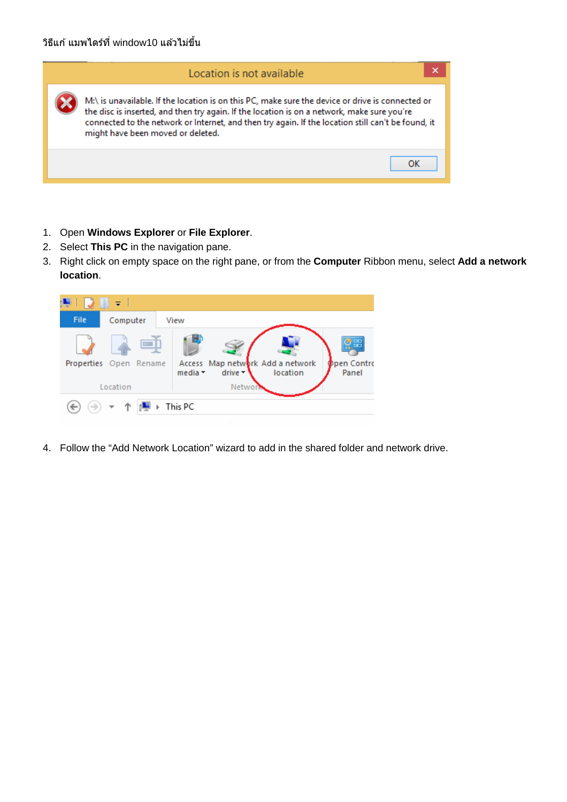| Location is not available                                                                                                                                                                                                                                                                                                                  |  |
|--------------------------------------------------------------------------------------------------------------------------------------------------------------------------------------------------------------------------------------------------------------------------------------------------------------------------------------------|--|
| M:\ is unavailable. If the location is on this PC, make sure the device or drive is connected or<br>the disc is inserted, and then try again. If the location is on a network, make sure you're<br>connected to the network or Internet, and then try again. If the location still can't be found, it<br>might have been moved or deleted. |  |
| ок                                                                                                                                                                                                                                                                                                                                         |  |

- 1. Open **Windows Explorer** or **File Explorer**.
- 2. Select **This PC** in the navigation pane.
- 3. Right click on empty space on the right pane, or from the **Computer** Ribbon menu, select **Add a network location**.



4. Follow the "Add Network Location" wizard to add in the shared folder and network drive.